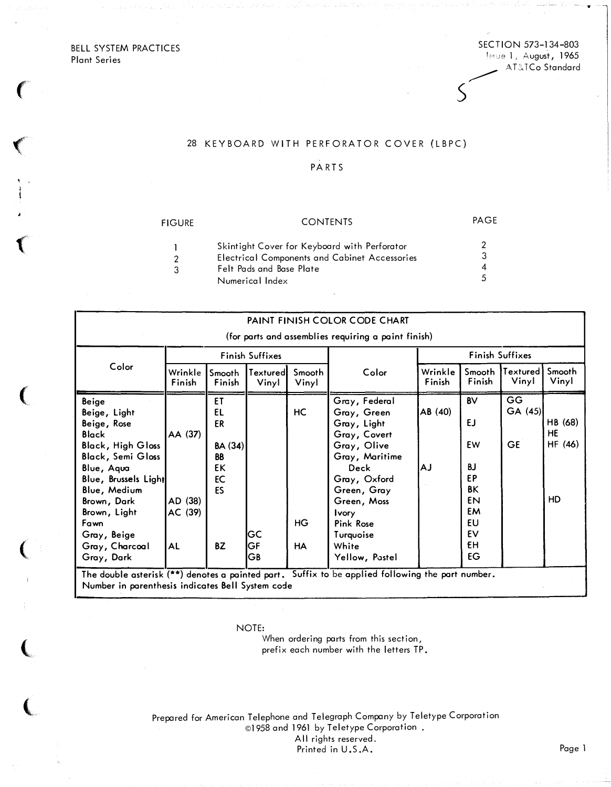BELL SYSTEM PRACTICES Plant Series

 $\left($ 

 $\sqrt{2}$ 

 $\big($ 

 $\big($ 

(

 $\overline{\mathbf{C}}$ 

 $\overline{\mathbb{C}}$ 

### SECTION 573-134-803 !;;;.;: <sup>1</sup>, August, <sup>1965</sup> <sup>d</sup> AT&TCo Standard

•

s

## 28 KEYBOARD WITH PERFORATOR COVER (LBPC)

## PARTS

| FIGURE         | <b>CONTENTS</b>                                      | PAGE |
|----------------|------------------------------------------------------|------|
|                | Skintight Cover for Keyboard with Perforator         |      |
| $\overline{2}$ | <b>Electrical Components and Cabinet Accessories</b> |      |
| ર              | Felt Pads and Base Plate                             |      |
|                | Numerical Index                                      | 5    |

|                                                                                                                                                                                                                                                          |                                            |                                                                       |                   |                       | PAINT FINISH COLOR CODE CHART                                                                                                                                                                                           |                   |                                                                                                  |                           |                                |
|----------------------------------------------------------------------------------------------------------------------------------------------------------------------------------------------------------------------------------------------------------|--------------------------------------------|-----------------------------------------------------------------------|-------------------|-----------------------|-------------------------------------------------------------------------------------------------------------------------------------------------------------------------------------------------------------------------|-------------------|--------------------------------------------------------------------------------------------------|---------------------------|--------------------------------|
|                                                                                                                                                                                                                                                          |                                            |                                                                       |                   |                       | (for parts and assemblies requiring a paint finish)                                                                                                                                                                     |                   |                                                                                                  |                           |                                |
| Color                                                                                                                                                                                                                                                    | Finish Suffixes                            |                                                                       |                   |                       | Finish Suffixes                                                                                                                                                                                                         |                   |                                                                                                  |                           |                                |
|                                                                                                                                                                                                                                                          | Wrinkle<br>Finish                          | Smooth<br>Finish                                                      | Textured<br>Vinyl | Smooth<br>Vinyl       | Color                                                                                                                                                                                                                   | Wrinkle<br>Finish | Smooth<br>Finish                                                                                 | Textured<br>Vinyl         | Smooth<br>Vinyl                |
| Beige<br>Beige, Light<br>Beige, Rose<br><b>Black</b><br><b>Black, High Gloss</b><br><b>Black, Semi Gloss</b><br>Blue, Aqua<br>Blue, Brussels Light<br>Blue, Medium<br>Brown, Dark<br>Brown, Light<br>Fawn<br>Gray, Beige<br>Gray, Charcoal<br>Gray, Dark | AA (37)<br>AD (38)<br>AC (39)<br><b>AL</b> | ET<br>EL<br>ER<br><b>BA (34)</b><br><b>BB</b><br>EK<br>EC<br>ES<br>BZ | GC<br>GF<br>GВ    | <b>HC</b><br>HG<br>HA | Gray, Federal<br>Gray, Green<br>Gray, Light<br>Gray, Covert<br>Gray, Olive<br>Gray, Maritime<br>Deck<br>Gray, Oxford<br>Green, Gray<br>Green, Moss<br><b>Ivory</b><br>Pink Rose<br>Turquoise<br>White<br>Yellow, Pastel | AB (40)<br>ΑJ     | <b>BV</b><br><b>EJ</b><br>EW<br><b>BJ</b><br>EP<br><b>BK</b><br>EN<br>EM<br>EU<br>EV<br>ΕH<br>EG | GG<br>GA(45)<br><b>GE</b> | HB (68)<br>HE<br>HF (46)<br>HD |

NOTE:

When ordering parts from this section, prefix each number with the letters TP.

Prepared for American Telephone and Telegraph Company by Teletype Corporation ©1958 and 1961 by Teletype Corporation All rights reserved. Printed in U.S.A. Page 1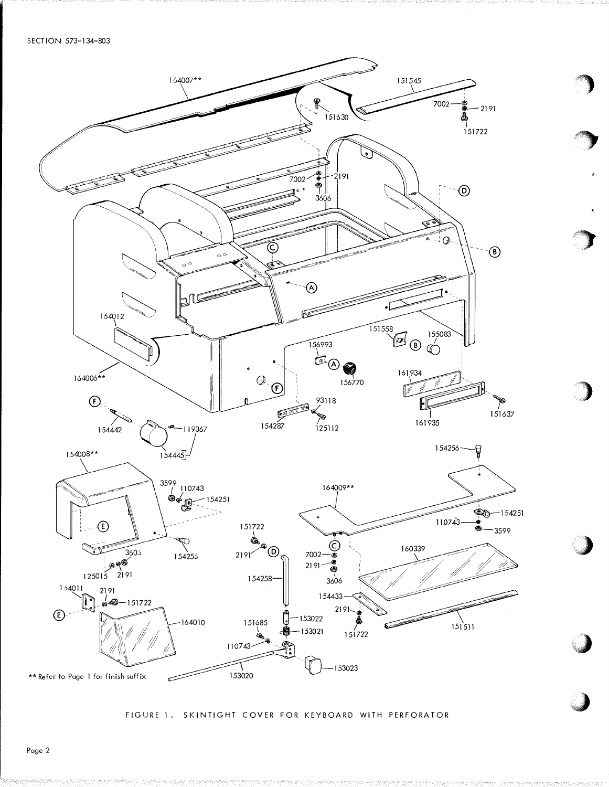

FIGURE 1. SKINTIGHT COVER FOR KEYBOARD WITH PERFORATOR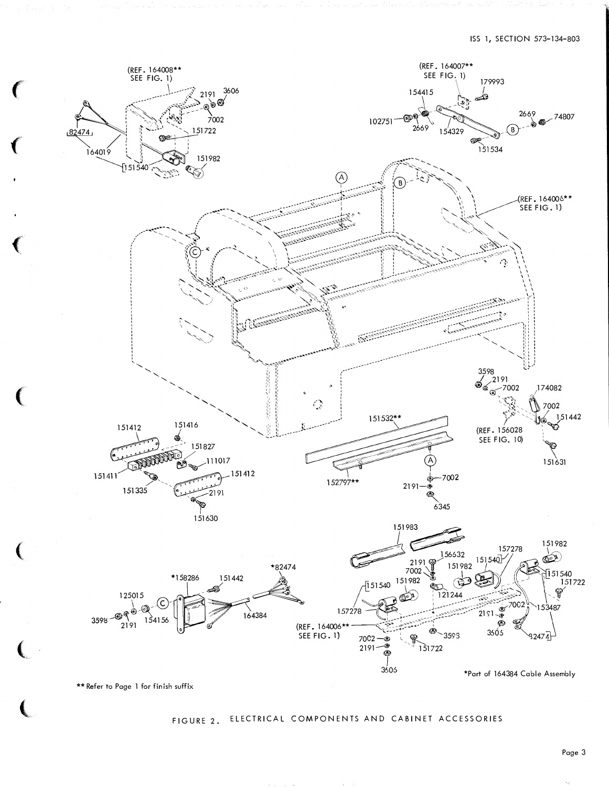

\*\* Refer to Page 1 for finish suffix

# FIGURE 2. ELECTRICAL COMPONENTS AND CABINET ACCESSORIES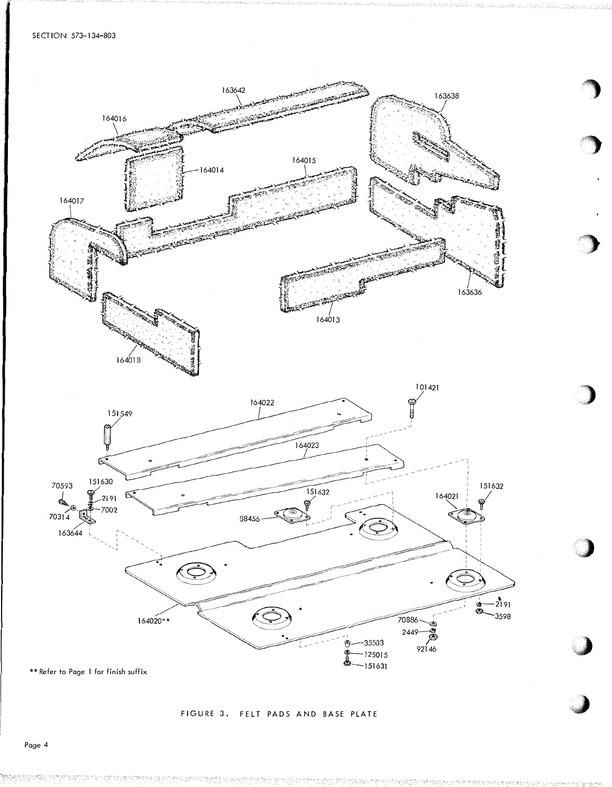

### FIGURE 3. FELT PADS AND BASE PLATE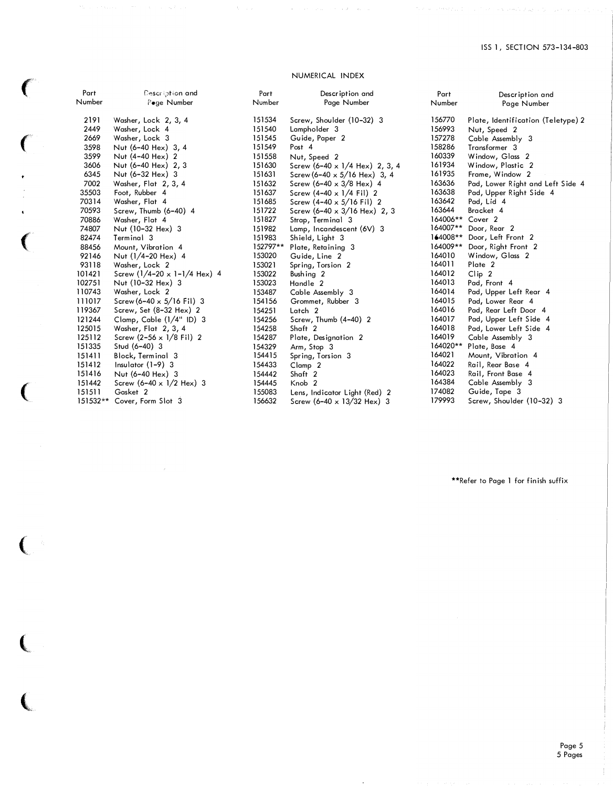### NUMERICAL INDEX

 $\big($ 

(

 $\ddot{\phantom{0}}$ 

 $\big($ 

 $\hat{\mathbf{v}}$ 

 $\left($ 

 $\big($ 

 $\left($ 

 $\left($ 

| Part   | Description and                         | Part     | Description and                           | Part     | Description and                                    |
|--------|-----------------------------------------|----------|-------------------------------------------|----------|----------------------------------------------------|
| Number | Pege Number                             | Number   | Page Number                               | Number   | Page Number                                        |
| 2191   | Washer, Lock 2, 3, 4                    | 151534   | Screw, Shoulder (10-32) 3                 | 156770   |                                                    |
| 2449   | Washer, Lock 4                          | 151540   | Lampholder 3                              | 156993   | Plate, Identification (Teletype) 2<br>Nut, Speed 2 |
| 2669   | Washer, Lock 3                          | 151545   | Guide, Paper 2                            | 157278   | Cable Assembly 3                                   |
| 3598   | Nut (6-40 Hex) 3, 4                     | 151549   | Post 4                                    | 158286   | Transformer 3                                      |
| 3599   | Nut (4-40 Hex) 2                        | 151558   | Nut, Speed 2                              | 160339   | Window, Glass 2                                    |
| 3606   | Nut (6-40 Hex) 2, 3                     | 151630   | Screw $(6-40 \times 1/4$ Hex) 2, 3, 4     | 161934   | Window, Plastic 2                                  |
| 6345   | Nut $(6-32$ Hex) 3                      | 151631   | Screw (6-40 $\times$ 5/16 Hex) 3, 4       | 161935   | Frame, Window 2                                    |
| 7002   | Washer, Flat 2, 3, 4                    | 151632   | Screw (6-40 $\times$ 3/8 Hex) 4           | 163636   | Pad, Lower Right and Left Side 4                   |
| 35503  | Foot, Rubber 4                          | 151637   | Screw $(4-40 \times 1/4$ Fil) 2           | 163638   | Pad, Upper Right Side 4                            |
| 70314  | Washer, Flat 4                          | 151685   | Screw $(4-40 \times 5/16$ Fil) 2          | 163642   | Pad, Lid 4                                         |
| 70593  | Screw, Thumb (6-40) 4                   | 151722   | Screw $(6-40 \times 3/16$ Hex) 2, 3       | 163644   | Bracket 4                                          |
| 70886  | Washer, Flat 4                          | 151827   | Strap, Terminal 3                         | 164006** | Cover <sub>2</sub>                                 |
| 74807  | Nut (10-32 Hex) 3                       | 151982   | Lamp, Incandescent (6V) 3                 | 164007** | Door, Rear 2                                       |
| 82474  | Terminal 3                              | 151983   | Shield, Light 3                           | 164008** | Door, Left Front 2                                 |
| 88456  | Mount, Vibration 4                      | 152797** | Plate, Retaining 3                        | 164009** | Door, Right Front 2                                |
| 92146  | Nut (1/4-20 Hex) 4                      | 153020   | Guide, Line 2                             | 164010   | Window, Glass 2                                    |
| 93118  | Washer, Lock 2                          | 153021   | Spring, Torsion 2                         | 164011   | Plate 2                                            |
| 101421 | Screw $(1/4 - 20 \times 1 - 1/4$ Hex) 4 | 153022   | Bushing 2                                 | 164012   | Clip <sub>2</sub>                                  |
| 102751 | Nut (10-32 Hex) 3                       | 153023   | Handle 2                                  | 164013   | Pad, Front 4                                       |
| 110743 | Washer, Lock 2                          | 153487   | Cable Assembly 3                          | 164014   | Pad, Upper Left Rear 4                             |
| 111017 | Screw (6-40 $\times$ 5/16 Fil) 3        | 154156   | Grommet, Rubber 3                         | 164015   | Pad, Lower Rear 4                                  |
| 119367 | Screw, Set (8-32 Hex) 2                 | 154251   | Latch <sub>2</sub>                        | 164016   | Pad, Rear Left Door 4                              |
| 121244 | Clamp, Cable $(1/4"$ ID) 3              | 154256   | Screw, Thumb (4-40) 2                     | 164017   | Pad, Upper Left Side 4                             |
| 125015 | Washer, Flat 2, 3, 4                    | 154258   | Shaft 2                                   | 164018   | Pad, Lower Left Side 4                             |
| 125112 | Screw $(2-56 \times 1/8$ Fil) 2         | 154287   | Plate, Designation 2                      | 164019   | Cable Assembly 3                                   |
| 151335 | Stud $(6-40)$ 3                         | 154329   | Arm, Stop 3                               | 164020** | Plate, Base 4                                      |
| 151411 | Block, Terminal 3                       | 154415   | Spring, Torsion 3                         | 164021   | Mount, Vibration 4                                 |
| 151412 | $Insulator (1-9)$ 3                     | 154433   | Clamp <sub>2</sub>                        | 164022   | Rail, Rear Base 4                                  |
| 151416 | Nut (6-40 Hex) 3                        | 154442   | Shaft 2                                   | 164023   | Rail, Front Base 4                                 |
| 151442 | Screw $(6-40 \times 1/2$ Hex) 3         | 154445   | Knob <sub>2</sub>                         | 164384   | Cable Assembly 3                                   |
| 151511 | Gasket 2                                | 155083   | Lens, Indicator Light (Red) 2             | 174082   | Guide, Tape 3                                      |
|        | 151532** Cover, Form Slot 3             | 156632   | Screw $(6-40 \times 13/32 \text{ Hex})$ 3 | 179993   | Screw, Shoulder (10-32) 3                          |

\*\*Refer to Page 1 for finish suffix